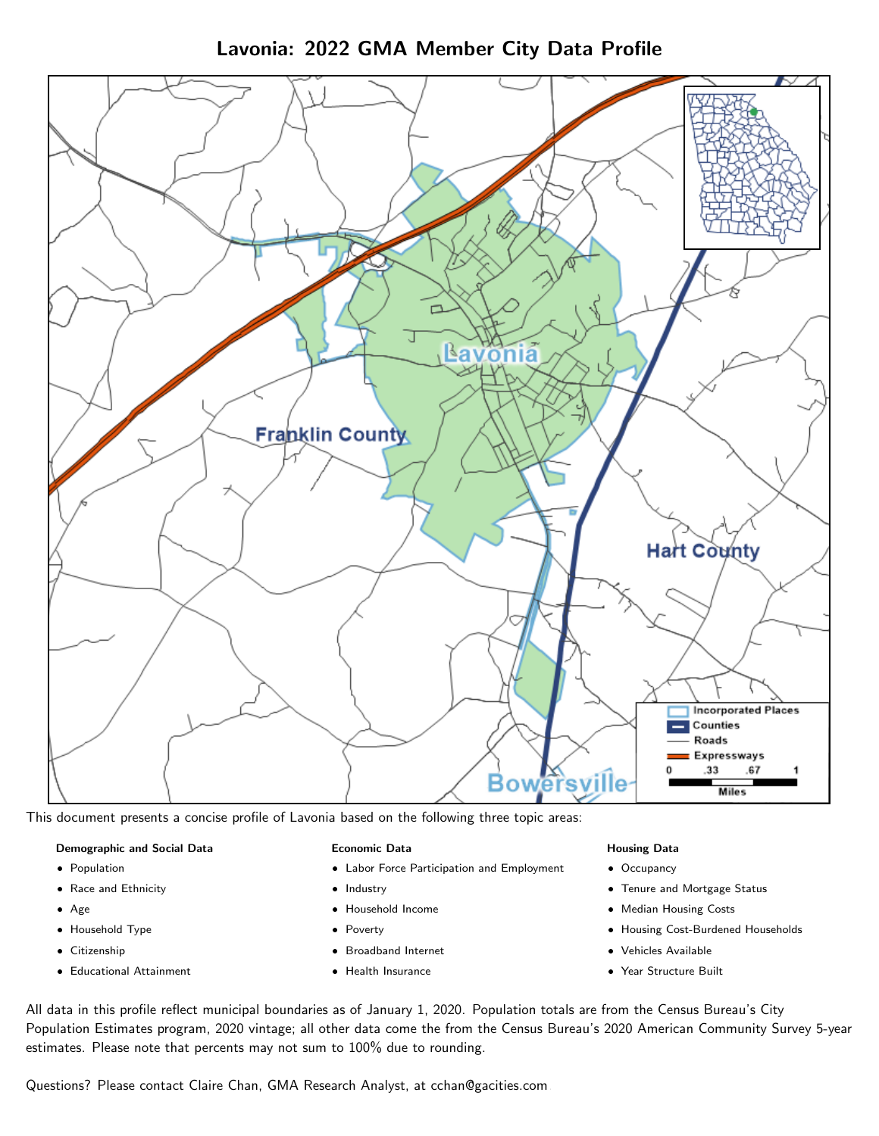Lavonia: 2022 GMA Member City Data Profile



This document presents a concise profile of Lavonia based on the following three topic areas:

#### Demographic and Social Data

- **•** Population
- Race and Ethnicity
- Age
- Household Type
- **Citizenship**
- Educational Attainment

## Economic Data

- Labor Force Participation and Employment
- Industry
- Household Income
- Poverty
- Broadband Internet
- Health Insurance

## Housing Data

- Occupancy
- Tenure and Mortgage Status
- Median Housing Costs
- Housing Cost-Burdened Households
- Vehicles Available
- Year Structure Built

All data in this profile reflect municipal boundaries as of January 1, 2020. Population totals are from the Census Bureau's City Population Estimates program, 2020 vintage; all other data come the from the Census Bureau's 2020 American Community Survey 5-year estimates. Please note that percents may not sum to 100% due to rounding.

Questions? Please contact Claire Chan, GMA Research Analyst, at [cchan@gacities.com.](mailto:cchan@gacities.com)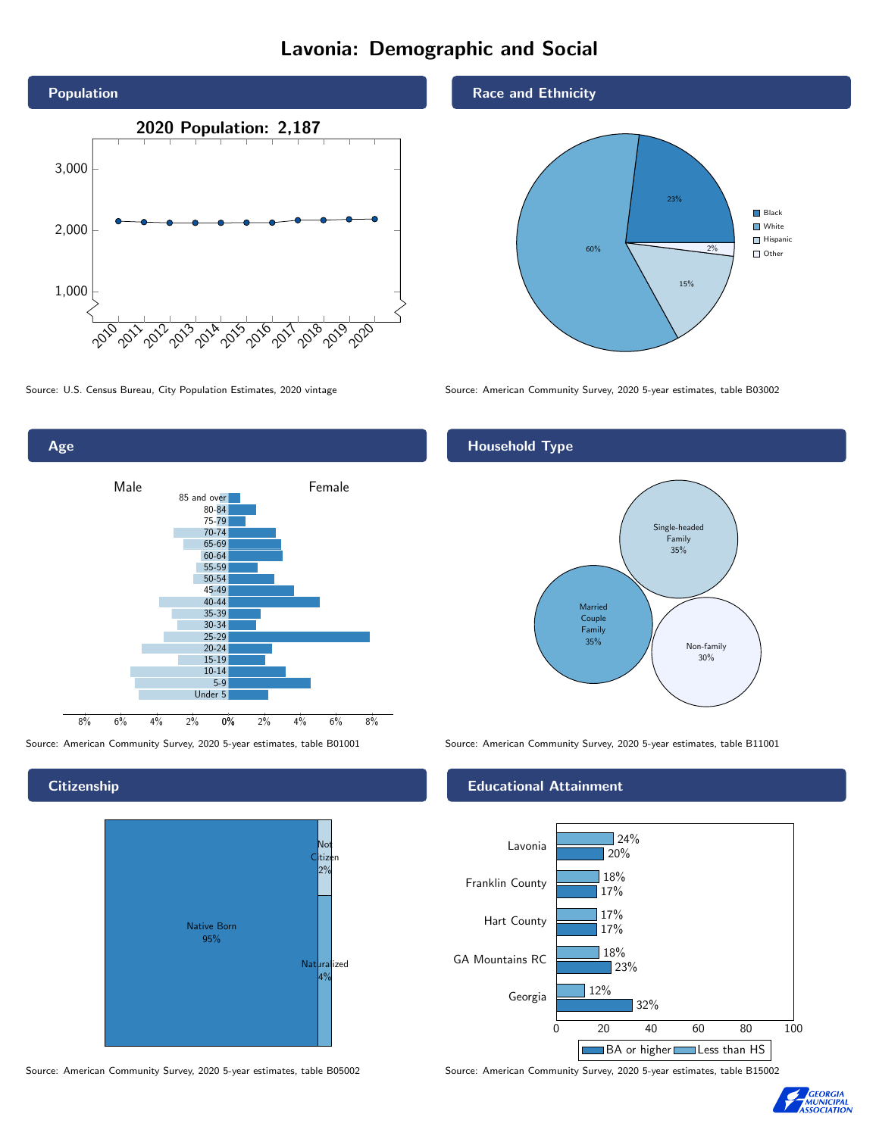# Lavonia: Demographic and Social





**Citizenship** 



#### Race and Ethnicity



Source: U.S. Census Bureau, City Population Estimates, 2020 vintage Source: American Community Survey, 2020 5-year estimates, table B03002

# Household Type



Source: American Community Survey, 2020 5-year estimates, table B01001 Source: American Community Survey, 2020 5-year estimates, table B11001

#### Educational Attainment



Source: American Community Survey, 2020 5-year estimates, table B05002 Source: American Community Survey, 2020 5-year estimates, table B15002

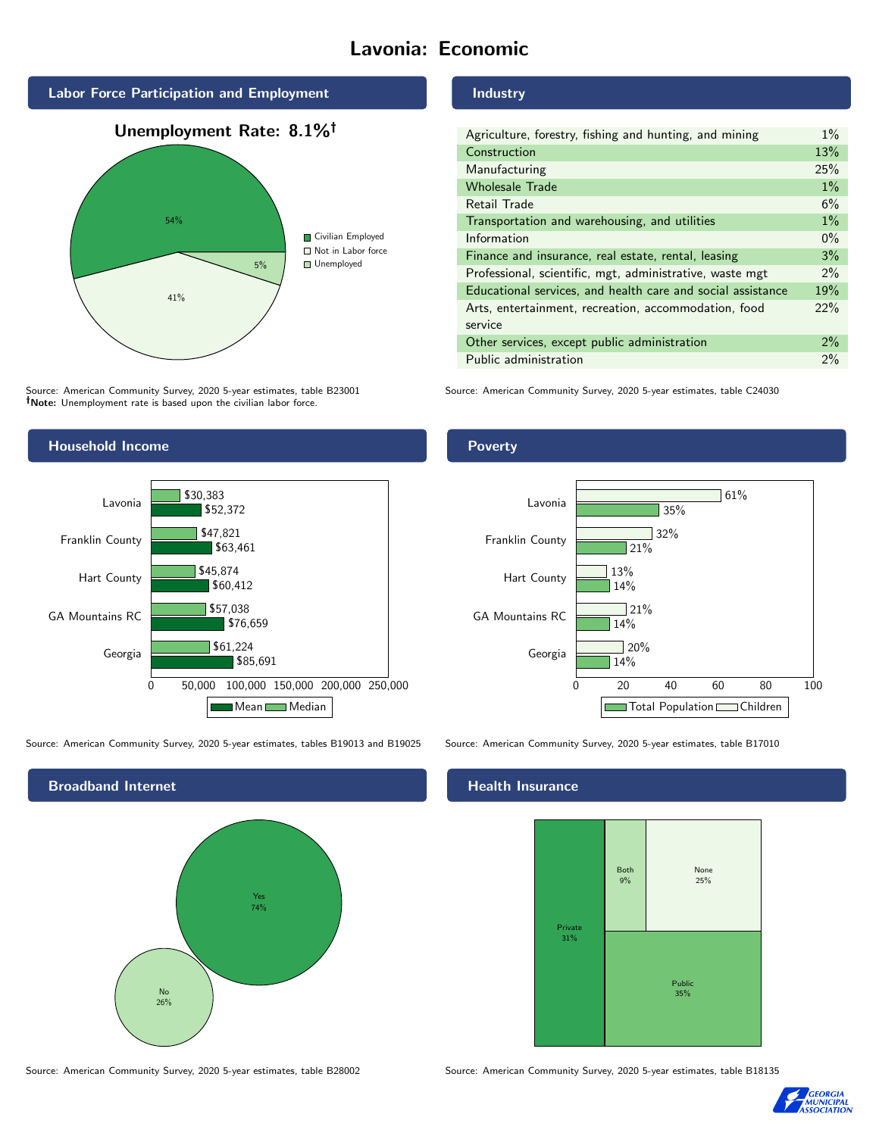# Lavonia: Economic



# 54% 41% 5% Civilian Employed ■ Not in Labor force **Unemployed**

Source: American Community Survey, 2020 5-year estimates, table B23001 Note: Unemployment rate is based upon the civilian labor force.

# Industry

| Agriculture, forestry, fishing and hunting, and mining      | $1\%$ |
|-------------------------------------------------------------|-------|
| Construction                                                | 13%   |
| Manufacturing                                               | 25%   |
| <b>Wholesale Trade</b>                                      | $1\%$ |
| Retail Trade                                                | 6%    |
| Transportation and warehousing, and utilities               | $1\%$ |
| Information                                                 | $0\%$ |
| Finance and insurance, real estate, rental, leasing         | 3%    |
| Professional, scientific, mgt, administrative, waste mgt    | $2\%$ |
| Educational services, and health care and social assistance | 19%   |
| Arts, entertainment, recreation, accommodation, food        | 22%   |
| service                                                     |       |
| Other services, except public administration                | $2\%$ |
| Public administration                                       | $2\%$ |

Source: American Community Survey, 2020 5-year estimates, table C24030



Source: American Community Survey, 2020 5-year estimates, tables B19013 and B19025 Source: American Community Survey, 2020 5-year estimates, table B17010



#### Source: American Community Survey, 2020 5-year estimates, table B28002 Source: American Community Survey, 2020 5-year estimates, table B18135

# Poverty



## Health Insurance